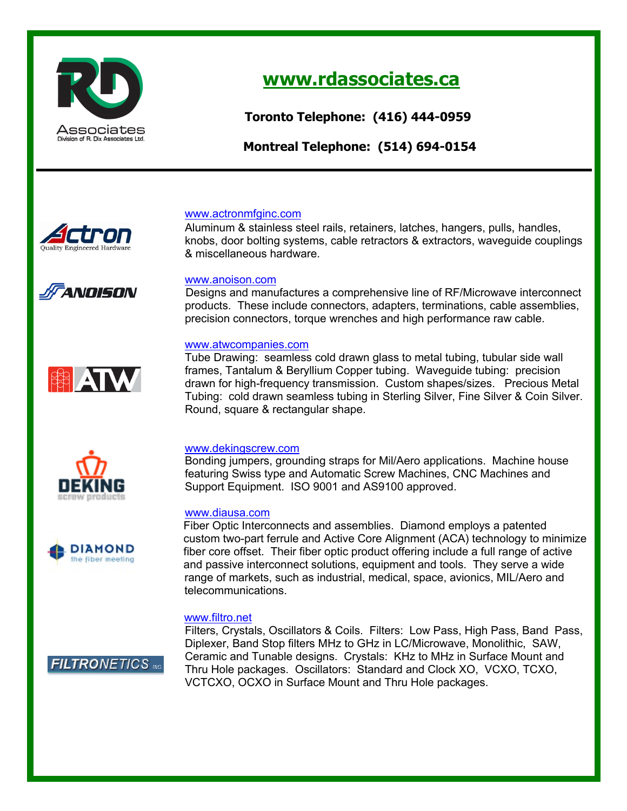

*TORONTO: MONTREAL:*

# **www.rdassociates.ca** *MARY M. REANDO, CPMR*

 **Toronto Telephone: (416) 444-0959**

**Division of R. Dix Associates Ltd. Montreal Telephone: (514) 694-0154** 



ANOISON

# www.actronmfginc.com *Telephone: (416) 444-0959 Telephone: (514) 694-0154 Cell: (416) 451-2703 Fax: (514) 697-0186*

**Aluminum & stainless steel rails, retainers, latches, hangers, pulls, handles,** knobs, door bolting systems, cable retractors & extractors, waveguide couplings & miscellaneous hardware.

# www.anoison.com

 Designs and manufactures a comprehensive line of RF/Microwave interconnect products. These include connectors, adapters, terminations, cable assemblies, precision connectors, torque wrenches and high performance raw cable.

# www.atwcompanies.com

Tube Drawing: seamless cold drawn glass to metal tubing, tubular side wall frames, Tantalum & Beryllium Copper tubing. Waveguide tubing: precision drawn for high-frequency transmission. Custom shapes/sizes. Precious Metal Tubing: cold drawn seamless tubing in Sterling Silver, Fine Silver & Coin Silver. Round, square & rectangular shape.

## www.dekingscrew.com

Bonding jumpers, grounding straps for Mil/Aero applications. Machine house featuring Swiss type and Automatic Screw Machines, CNC Machines and Support Equipment. ISO 9001 and AS9100 approved.

## www.diausa.com

 Fiber Optic Interconnects and assemblies. Diamond employs a patented custom two-part ferrule and Active Core Alignment (ACA) technology to minimize fiber core offset. Their fiber optic product offering include a full range of active and passive interconnect solutions, equipment and tools. They serve a wide range of markets, such as industrial, medical, space, avionics, MIL/Aero and telecommunications.

## www.filtro.net

Filters, Crystals, Oscillators & Coils. Filters: Low Pass, High Pass, Band Pass, Diplexer, Band Stop filters MHz to GHz in LC/Microwave, Monolithic, SAW, Ceramic and Tunable designs. Crystals: KHz to MHz in Surface Mount and Thru Hole packages. Oscillators: Standard and Clock XO, VCXO, TCXO, VCTCXO, OCXO in Surface Mount and Thru Hole packages.